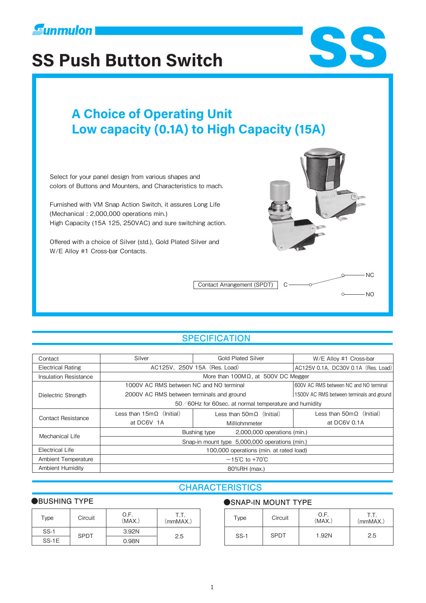

# **Solution State of State State State State State State State State State State State State State State State State State State State State State State State State State State State State State State State State State State**

# **A CHOICE OF PERTITY Low capacity (0.1A) to High Capacity (15A)**

Select for your panel design from various shapes and colors of Buttons and Mounters, and Characteristics to mach.

Furnished with VM Snap Action Switch, it assures Long Life (Mechanical : 2,000,000 operations min.) High Capacity (15A 125, 250VAC) and sure switching action.

Offered with a choice of Silver (std.), Gold Plated Silver and W/E Alloy #1 Cross-bar Contacts.



Contact Arrangement (SPDT) C-

#### $-NO$  $\circ$

**NC** 

## **SPECIFICATION**

| Contact                  | Silver                                                | <b>Gold Plated Silver</b>                | W/E Alloy #1 Cross-bar                    |  |
|--------------------------|-------------------------------------------------------|------------------------------------------|-------------------------------------------|--|
| <b>Electrical Rating</b> | AC125V, 250V 15A (Res. Load)                          | AC125V 0.1A, DC30V 0.1A (Res. Load)      |                                           |  |
| Insulation Resistance    | More than $100M\Omega$ , at 500V DC Megger            |                                          |                                           |  |
| Dielectric Strength      | 1000V AC RMS between NC and NO terminal               |                                          | 600V AC RMS between NC and NO terminal    |  |
|                          | 2000V AC RMS between terminals and ground             |                                          | 1500V AC RMS between terminals and ground |  |
|                          | 50/60Hz for 60sec. at normal temperature and humidity |                                          |                                           |  |
| Contact Resistance       | Less than $15m\Omega$ (Initial)                       | Less than $50 \text{m} \Omega$ (Initial) | Less than $50 \text{m} \Omega$ (Initial)  |  |
|                          | at DC6V 1A                                            | Milliohmmeter                            | at DC6V 0.1A                              |  |
| Mechanical Life          | 2,000,000 operations (min.)<br>Bushing type           |                                          |                                           |  |
|                          | Snap-in mount type 5,000,000 operations (min.)        |                                          |                                           |  |
| Electrical Life          | 100,000 operations (min. at rated load)               |                                          |                                           |  |
| Ambient Temperature      | $-15^{\circ}$ C to +70 $^{\circ}$ C                   |                                          |                                           |  |
| <b>Ambient Humidity</b>  | 80%RH (max.)                                          |                                          |                                           |  |

## **CHARACTERISTICS**

| Type    | Circuit     | O.F.<br>(MAX.) | T.T.<br>(mmMAX.) |
|---------|-------------|----------------|------------------|
| $SS-1$  | <b>SPDT</b> | 3.92N          |                  |
| $SS-1E$ |             | 0.98N          | 2.5              |

#### ●BUSHING TYPE ●SNAP-IN MOUNT TYPE

| Circuit | 0.F.<br>(MAX.) | T.T.<br>(mmMAX.) | Type   | Circuit     | O.F.<br>(MAX.) | .<br>(mmMAX.) |
|---------|----------------|------------------|--------|-------------|----------------|---------------|
| SPDT    | 3.92N          | 2.5              | $SS-1$ | <b>SPDT</b> | 1.92N          | 2.5           |
|         | 0.98N          |                  |        |             |                |               |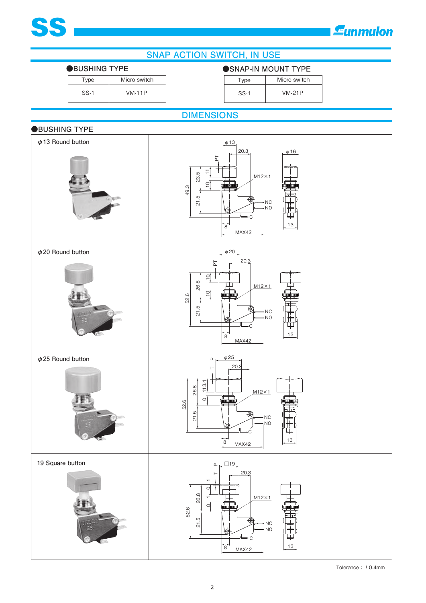

# **E**unmulon



Tolerance:±0.4mm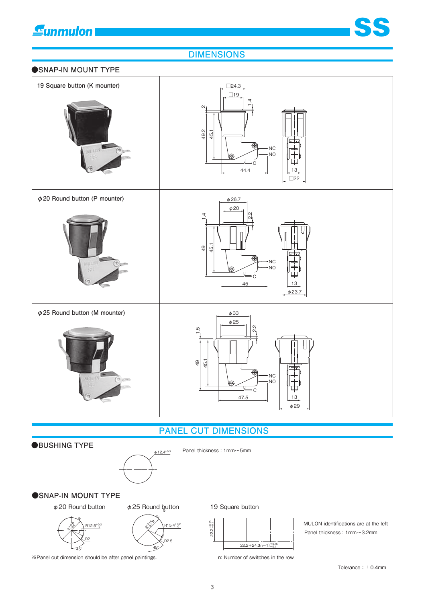

## **DIMENSIONS**





## **PANEL CUT DIMENSIONS**

#### **●BUSHING TYPE**



Panel thickness : 1mm~5mm

#### **●SNAP-IN MOUNT TYPE**





※Panel cut dimension should be after panel paintings.



n: Number of switches in the row

Panel thickness : 1mm~3.2mm MULON identifications are at the left